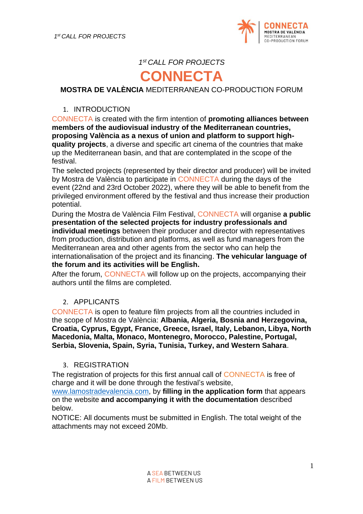

## *1 st CALL FOR PROJECTS*

# **CONNECTA**

#### **MOSTRA DE VALÈNCIA** MEDITERRANEAN CO-PRODUCTION FORUM

#### 1. INTRODUCTION

CONNECTA is created with the firm intention of **promoting alliances between members of the audiovisual industry of the Mediterranean countries, proposing València as a nexus of union and platform to support highquality projects**, a diverse and specific art cinema of the countries that make up the Mediterranean basin, and that are contemplated in the scope of the festival.

The selected projects (represented by their director and producer) will be invited by Mostra de València to participate in CONNECTA during the days of the event (22nd and 23rd October 2022), where they will be able to benefit from the privileged environment offered by the festival and thus increase their production potential.

During the Mostra de València Film Festival, CONNECTA will organise **a public presentation of the selected projects for industry professionals and individual meetings** between their producer and director with representatives from production, distribution and platforms, as well as fund managers from the Mediterranean area and other agents from the sector who can help the internationalisation of the project and its financing. **The vehicular language of the forum and its activities will be English.** 

After the forum, CONNECTA will follow up on the projects, accompanying their authors until the films are completed.

#### 2. APPLICANTS

CONNECTA is open to feature film projects from all the countries included in the scope of Mostra de València: **Albania, Algeria, Bosnia and Herzegovina, Croatia, Cyprus, Egypt, France, Greece, Israel, Italy, Lebanon, Libya, North Macedonia, Malta, Monaco, Montenegro, Morocco, Palestine, Portugal, Serbia, Slovenia, Spain, Syria, Tunisia, Turkey, and Western Sahara**.

#### 3. REGISTRATION

The registration of projects for this first annual call of CONNECTA is free of charge and it will be done through the festival's website,

[www.lamostradevalencia.com,](http://www.lamostradevalencia.com/) by **filling in the application form** that appears on the website **and accompanying it with the documentation** described below.

NOTICE: All documents must be submitted in English. The total weight of the attachments may not exceed 20Mb.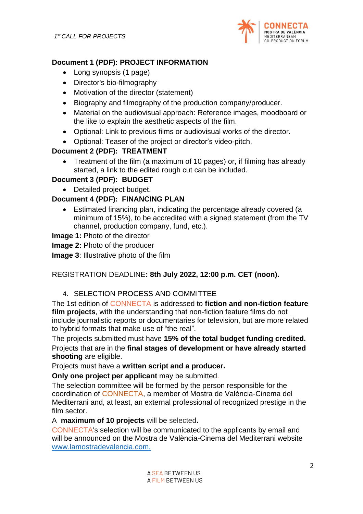

## **Document 1 (PDF): PROJECT INFORMATION**

- Long synopsis (1 page)
- Director's bio-filmography
- Motivation of the director (statement)
- Biography and filmography of the production company/producer.
- Material on the audiovisual approach: Reference images, moodboard or the like to explain the aesthetic aspects of the film.
- Optional: Link to previous films or audiovisual works of the director.
- Optional: Teaser of the project or director's video-pitch.

## **Document 2 (PDF): TREATMENT**

• Treatment of the film (a maximum of 10 pages) or, if filming has already started, a link to the edited rough cut can be included.

## **Document 3 (PDF): BUDGET**

• Detailed project budget.

## **Document 4 (PDF): FINANCING PLAN**

• Estimated financing plan, indicating the percentage already covered (a minimum of 15%), to be accredited with a signed statement (from the TV channel, production company, fund, etc.).

## **Image 1:** Photo of the director

**Image 2:** Photo of the producer

**Image 3**: Illustrative photo of the film

## REGISTRATION DEADLINE**: 8th July 2022, 12:00 p.m. CET (noon).**

## 4. SELECTION PROCESS AND COMMITTEE

The 1st edition of CONNECTA is addressed to **fiction and non-fiction feature film projects**, with the understanding that non-fiction feature films do not include journalistic reports or documentaries for television, but are more related to hybrid formats that make use of "the real".

The projects submitted must have **15% of the total budget funding credited.**  Projects that are in the **final stages of development or have already started shooting** are eligible.

Projects must have a **written script and a producer.**

**Only one project per applicant** may be submitted.

The selection committee will be formed by the person responsible for the coordination of CONNECTA, a member of Mostra de València-Cinema del Mediterrani and, at least, an external professional of recognized prestige in the film sector.

A **maximum of 10 projects** will be selected**.** 

CONNECTA's selection will be communicated to the applicants by email and will be announced on the Mostra de València-Cinema del Mediterrani website [www.lamostradevalencia.com.](http://www.lamostradevalencia.com/)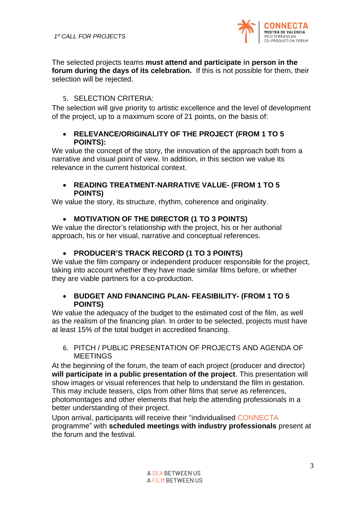

The selected projects teams **must attend and participate in person in the forum during the days of its celebration.** If this is not possible for them, their selection will be rejected.

#### 5. SELECTION CRITERIA:

The selection will give priority to artistic excellence and the level of development of the project, up to a maximum score of 21 points, on the basis of:

#### • **RELEVANCE/ORIGINALITY OF THE PROJECT (FROM 1 TO 5 POINTS):**

We value the concept of the story, the innovation of the approach both from a narrative and visual point of view. In addition, in this section we value its relevance in the current historical context.

#### • **READING TREATMENT-NARRATIVE VALUE- (FROM 1 TO 5 POINTS)**

We value the story, its structure, rhythm, coherence and originality.

#### • **MOTIVATION OF THE DIRECTOR (1 TO 3 POINTS)**

We value the director's relationship with the project, his or her authorial approach, his or her visual, narrative and conceptual references.

#### • **PRODUCER'S TRACK RECORD (1 TO 3 POINTS)**

We value the film company or independent producer responsible for the project, taking into account whether they have made similar films before, or whether they are viable partners for a co-production.

#### • **BUDGET AND FINANCING PLAN- FEASIBILITY- (FROM 1 TO 5 POINTS)**

We value the adequacy of the budget to the estimated cost of the film, as well as the realism of the financing plan. In order to be selected, projects must have at least 15% of the total budget in accredited financing.

#### 6. PITCH / PUBLIC PRESENTATION OF PROJECTS AND AGENDA OF MEETINGS

At the beginning of the forum, the team of each project (producer and director) **will participate in a public presentation of the project**. This presentation will show images or visual references that help to understand the film in gestation. This may include teasers, clips from other films that serve as references, photomontages and other elements that help the attending professionals in a better understanding of their project.

Upon arrival, participants will receive their "individualised CONNECTA programme" with **scheduled meetings with industry professionals** present at the forum and the festival.